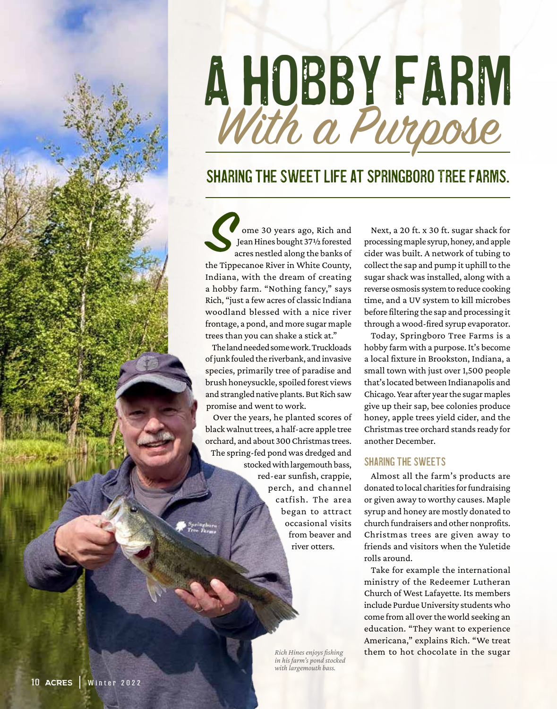# A HOBBY FARM With a Purpose

### Sharing the sweet life at Springboro Tree FarmS.

ome 30 years ago, Rich and Jean Hines bought 37½ forested acres nestled along the banks of the Tippecanoe River in White County, Indiana, with the dream of creating a hobby farm. "Nothing fancy," says Rich, "just a few acres of classic Indiana woodland blessed with a nice river frontage, a pond, and more sugar maple trees than you can shake a stick at."

The land needed some work. Truckloads of junk fouled the riverbank, and invasive species, primarily tree of paradise and brush honeysuckle, spoiled forest views and strangled native plants. But Rich saw promise and went to work.

Over the years, he planted scores of black walnut trees, a half-acre apple tree orchard, and about 300 Christmas trees. The spring-fed pond was dredged and stocked with largemouth bass, red-ear sunfish, crappie, perch, and channel catfish. The area began to attract occasional visits from beaver and river otters.

> *Rich Hines enjoys fishing in his farm's pond stocked with largemouth bass.*

Next, a 20 ft. x 30 ft. sugar shack for processing maple syrup, honey, and apple cider was built. A network of tubing to collect the sap and pump it uphill to the sugar shack was installed, along with a reverse osmosis system to reduce cooking time, and a UV system to kill microbes before filtering the sap and processing it through a wood-fired syrup evaporator.

Today, Springboro Tree Farms is a hobby farm with a purpose. It's become a local fixture in Brookston, Indiana, a small town with just over 1,500 people that's located between Indianapolis and Chicago. Year after year the sugar maples give up their sap, bee colonies produce honey, apple trees yield cider, and the Christmas tree orchard stands ready for another December.

#### Sharing the sweets

Almost all the farm's products are donated to local charities for fundraising or given away to worthy causes. Maple syrup and honey are mostly donated to church fundraisers and other nonprofits. Christmas trees are given away to friends and visitors when the Yuletide rolls around.

Take for example the international ministry of the Redeemer Lutheran Church of West Lafayette. Its members include Purdue University students who come from all over the world seeking an education. "They want to experience Americana," explains Rich. "We treat them to hot chocolate in the sugar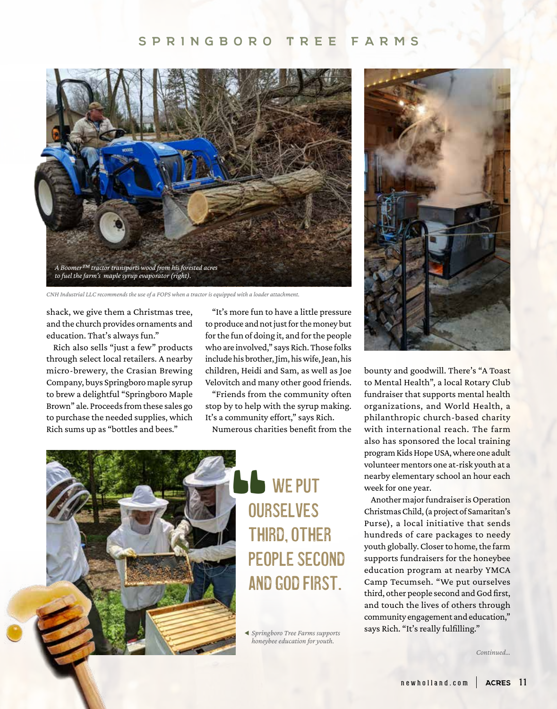#### **SPRINGBORO TREE FARMS**



*CNH Industrial LLC recommends the use of a FOPS when a tractor is equipped with a loader attachment.*

shack, we give them a Christmas tree, and the church provides ornaments and education. That's always fun."

Rich also sells "just a few" products through select local retailers. A nearby micro-brewery, the Crasian Brewing Company, buys Springboro maple syrup to brew a delightful "Springboro Maple Brown" ale. Proceeds from these sales go to purchase the needed supplies, which Rich sums up as "bottles and bees."

"It's more fun to have a little pressure to produce and not just for the money but for the fun of doing it, and for the people who are involved," says Rich. Those folks include his brother, Jim, his wife, Jean, his children, Heidi and Sam, as well as Joe Velovitch and many other good friends.

"Friends from the community often stop by to help with the syrup making. It's a community effort," says Rich.

Numerous charities benefit from the



# NOUR<br>THI PEO<br>AND **WE PUT OURSELVES** third, other people second and God first.

  *Springboro Tree Farms supports honeybee education for youth.*



bounty and goodwill. There's "A Toast to Mental Health", a local Rotary Club fundraiser that supports mental health organizations, and World Health, a philanthropic church-based charity with international reach. The farm also has sponsored the local training program Kids Hope USA, where one adult volunteer mentors one at-risk youth at a nearby elementary school an hour each week for one year.

Another major fundraiser is Operation Christmas Child, (a project of Samaritan's Purse), a local initiative that sends hundreds of care packages to needy youth globally. Closer to home, the farm supports fundraisers for the honeybee education program at nearby YMCA Camp Tecumseh. "We put ourselves third, other people second and God first, and touch the lives of others through community engagement and education," says Rich. "It's really fulfilling."

*Continued…*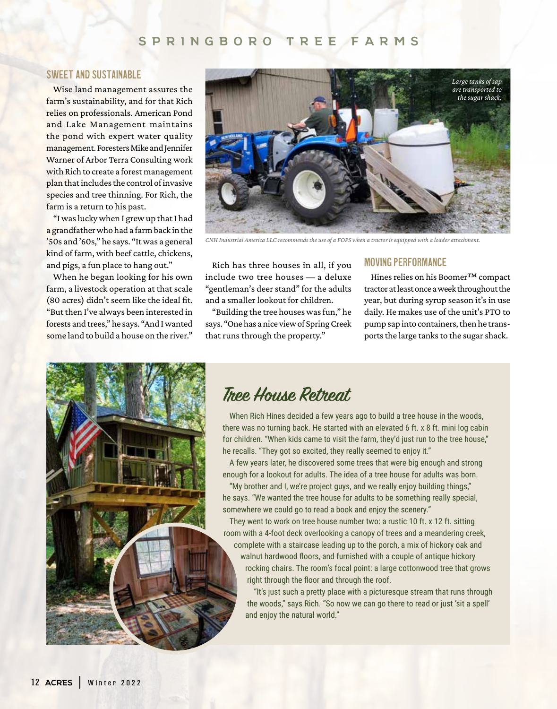#### **SPRINGBORO TREE FARMS SPRINGBORO TREE FARMS**

#### Sweet and sustainable

Wise land management assures the farm's sustainability, and for that Rich relies on professionals. American Pond and Lake Management maintains the pond with expert water quality management. Foresters Mike and Jennifer Warner of Arbor Terra Consulting work with Rich to create a forest management plan that includes the control of invasive species and tree thinning. For Rich, the farm is a return to his past.

"I was lucky when I grew up that I had a grandfather who had a farm back in the '50s and '60s," he says. "It was a general kind of farm, with beef cattle, chickens, and pigs, a fun place to hang out."

When he began looking for his own farm, a livestock operation at that scale (80 acres) didn't seem like the ideal fit. "But then I've always been interested in forests and trees," he says. "And I wanted some land to build a house on the river."



*CNH Industrial America LLC recommends the use of a FOPS when a tractor is equipped with a loader attachment.*

Rich has three houses in all, if you include two tree houses — a deluxe "gentleman's deer stand" for the adults and a smaller lookout for children.

"Building the tree houses was fun," he says. "One has a nice view of Spring Creek that runs through the property."

#### Moving performance

Hines relies on his Boomer™ compact tractor at least once a week throughout the year, but during syrup season it's in use daily. He makes use of the unit's PTO to pump sap into containers, then he transports the large tanks to the sugar shack.



## **Tree House Retreat**

When Rich Hines decided a few years ago to build a tree house in the woods, there was no turning back. He started with an elevated 6 ft. x 8 ft. mini log cabin for children. "When kids came to visit the farm, they'd just run to the tree house," he recalls. "They got so excited, they really seemed to enjoy it."

A few years later, he discovered some trees that were big enough and strong enough for a lookout for adults. The idea of a tree house for adults was born.

"My brother and I, we're project guys, and we really enjoy building things," he says. "We wanted the tree house for adults to be something really special, somewhere we could go to read a book and enjoy the scenery."

They went to work on tree house number two: a rustic 10 ft. x 12 ft. sitting room with a 4-foot deck overlooking a canopy of trees and a meandering creek,

complete with a staircase leading up to the porch, a mix of hickory oak and walnut hardwood floors, and furnished with a couple of antique hickory rocking chairs. The room's focal point: a large cottonwood tree that grows right through the floor and through the roof.

"It's just such a pretty place with a picturesque stream that runs through the woods," says Rich. "So now we can go there to read or just 'sit a spell' and enjoy the natural world."